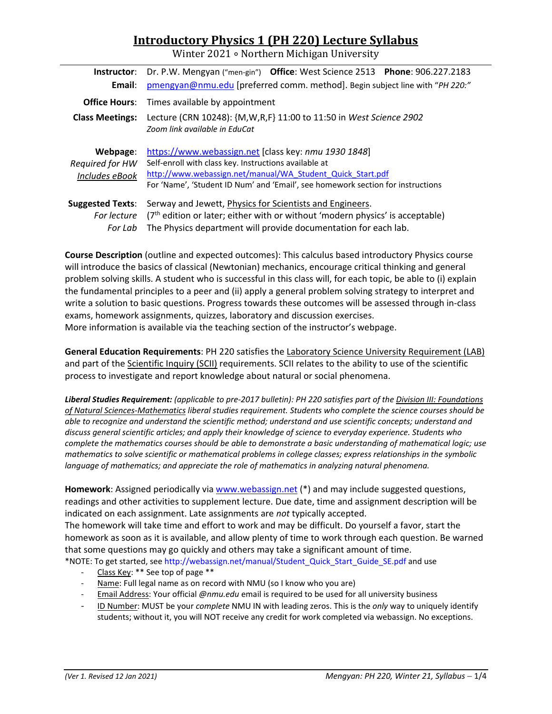# **Introductory Physics 1 (PH 220) Lecture Syllabus**

Winter 2021 ∘ Northern Michigan University

| Instructor:                                       | Dr. P.W. Mengyan ("men-gin") Office: West Science 2513 Phone: 906.227.2183                                                                                                                                                                                     |  |  |
|---------------------------------------------------|----------------------------------------------------------------------------------------------------------------------------------------------------------------------------------------------------------------------------------------------------------------|--|--|
| Email:                                            | pmengyan@nmu.edu [preferred comm. method]. Begin subject line with "PH 220:"                                                                                                                                                                                   |  |  |
|                                                   | <b>Office Hours:</b> Times available by appointment                                                                                                                                                                                                            |  |  |
| <b>Class Meetings:</b>                            | Lecture (CRN 10248): {M, W, R, F} 11:00 to 11:50 in West Science 2902<br>Zoom link available in EduCat                                                                                                                                                         |  |  |
| Webpage:<br>Required for HW<br>Includes eBook     | https://www.webassign.net [class key: nmu 1930 1848]<br>Self-enroll with class key. Instructions available at<br>http://www.webassign.net/manual/WA Student Quick Start.pdf<br>For 'Name', 'Student ID Num' and 'Email', see homework section for instructions |  |  |
| <b>Suggested Texts:</b><br>For lecture<br>For Lab | Serway and Jewett, Physics for Scientists and Engineers.<br>$(7th$ edition or later; either with or without 'modern physics' is acceptable)<br>The Physics department will provide documentation for each lab.                                                 |  |  |

**Course Description** (outline and expected outcomes): This calculus based introductory Physics course will introduce the basics of classical (Newtonian) mechanics, encourage critical thinking and general problem solving skills. A student who is successful in this class will, for each topic, be able to (i) explain the fundamental principles to a peer and (ii) apply a general problem solving strategy to interpret and write a solution to basic questions. Progress towards these outcomes will be assessed through in‐class exams, homework assignments, quizzes, laboratory and discussion exercises. More information is available via the teaching section of the instructor's webpage.

**General Education Requirements**: PH 220 satisfies the Laboratory Science University Requirement (LAB) and part of the Scientific Inquiry (SCII) requirements. SCII relates to the ability to use of the scientific process to investigate and report knowledge about natural or social phenomena.

*Liberal Studies Requirement: (applicable to pre‐2017 bulletin): PH 220 satisfies part of the Division III: Foundations of Natural Sciences‐Mathematics liberal studies requirement. Students who complete the science courses should be able to recognize and understand the scientific method; understand and use scientific concepts; understand and discuss general scientific articles; and apply their knowledge of science to everyday experience. Students who complete the mathematics courses should be able to demonstrate a basic understanding of mathematical logic; use mathematics to solve scientific or mathematical problems in college classes; express relationships in the symbolic language of mathematics; and appreciate the role of mathematics in analyzing natural phenomena.* 

**Homework**: Assigned periodically via www.webassign.net (\*) and may include suggested questions, readings and other activities to supplement lecture. Due date, time and assignment description will be indicated on each assignment. Late assignments are *not* typically accepted.

The homework will take time and effort to work and may be difficult. Do yourself a favor, start the homework as soon as it is available, and allow plenty of time to work through each question. Be warned that some questions may go quickly and others may take a significant amount of time. \*NOTE: To get started, see http://webassign.net/manual/Student\_Quick\_Start\_Guide\_SE.pdf and use

- ‐ Class Key: \*\* See top of page \*\*
- ‐ Name: Full legal name as on record with NMU (so I know who you are)
- ‐ Email Address: Your official *@nmu.edu* email is required to be used for all university business
- ‐ ID Number: MUST be your *complete* NMU IN with leading zeros. This is the *only* way to uniquely identify students; without it, you will NOT receive any credit for work completed via webassign. No exceptions.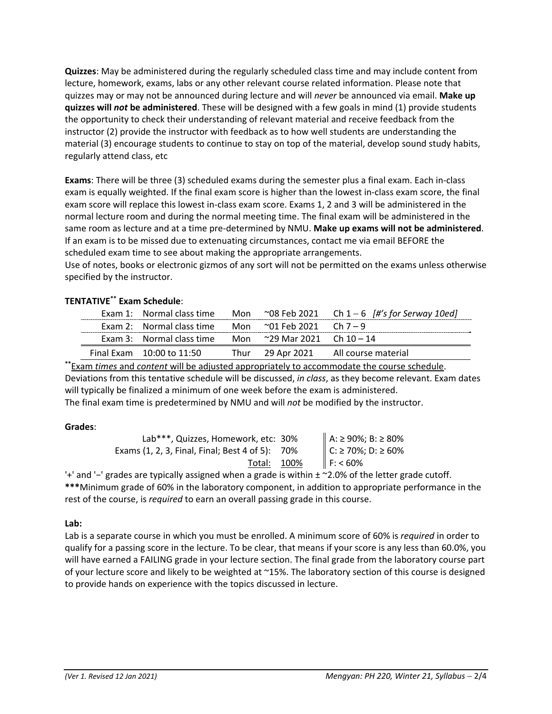**Quizzes**: May be administered during the regularly scheduled class time and may include content from lecture, homework, exams, labs or any other relevant course related information. Please note that quizzes may or may not be announced during lecture and will *never* be announced via email. **Make up quizzes will** *not* **be administered**. These will be designed with a few goals in mind (1) provide students the opportunity to check their understanding of relevant material and receive feedback from the instructor (2) provide the instructor with feedback as to how well students are understanding the material (3) encourage students to continue to stay on top of the material, develop sound study habits, regularly attend class, etc

**Exams**: There will be three (3) scheduled exams during the semester plus a final exam. Each in‐class exam is equally weighted. If the final exam score is higher than the lowest in‐class exam score, the final exam score will replace this lowest in‐class exam score. Exams 1, 2 and 3 will be administered in the normal lecture room and during the normal meeting time. The final exam will be administered in the same room as lecture and at a time pre‐determined by NMU. **Make up exams will not be administered**. If an exam is to be missed due to extenuating circumstances, contact me via email BEFORE the scheduled exam time to see about making the appropriate arrangements.

Use of notes, books or electronic gizmos of any sort will not be permitted on the exams unless otherwise specified by the instructor.

# **TENTATIVE\*\* Exam Schedule**:

|                                                             |                            | Exam 1: Normal class time Mon $\sim$ 08 Feb 2021 Ch 1 - 6  #'s for Serway 10ed] |
|-------------------------------------------------------------|----------------------------|---------------------------------------------------------------------------------|
| Exam 2: Normal class time                                   | Mon ~01 Feb 2021  Ch 7 – 9 |                                                                                 |
| Exam 3: Normal class time Mon $\sim$ 29 Mar 2021 Ch 10 – 14 |                            |                                                                                 |
| Final Exam $10:00$ to $11:50$                               |                            | Thur 29 Apr 2021 All course material                                            |

**\*\***Exam *times* and *content* will be adjusted appropriately to accommodate the course schedule. Deviations from this tentative schedule will be discussed, *in class*, as they become relevant. Exam dates will typically be finalized a minimum of one week before the exam is administered. The final exam time is predetermined by NMU and will *not* be modified by the instructor.

### **Grades**:

| Lab***, Quizzes, Homework, etc: 30%             | A: ≥ 90%; B: ≥ 80%<br>C: ≥ 70%; D: ≥ 60% |
|-------------------------------------------------|------------------------------------------|
| Exams (1, 2, 3, Final, Final; Best 4 of 5): 70% |                                          |
| Total: 100%                                     | F: 60%                                   |

'+' and '−' grades are typically assigned when a grade is within ± ~2.0% of the letter grade cutoff. **\*\*\***Minimum grade of 60% in the laboratory component, in addition to appropriate performance in the rest of the course, is *required* to earn an overall passing grade in this course.

### **Lab:**

Lab is a separate course in which you must be enrolled. A minimum score of 60% is *required* in order to qualify for a passing score in the lecture. To be clear, that means if your score is any less than 60.0%, you will have earned a FAILING grade in your lecture section. The final grade from the laboratory course part of your lecture score and likely to be weighted at ~15%. The laboratory section of this course is designed to provide hands on experience with the topics discussed in lecture.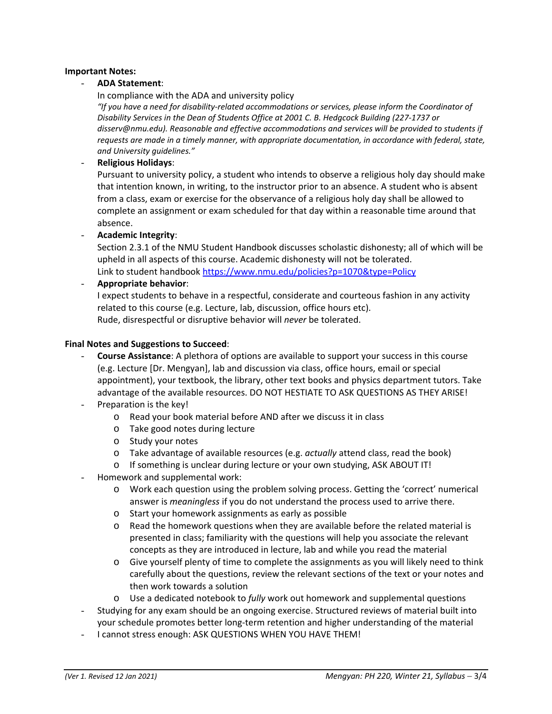#### **Important Notes:**

#### - **ADA Statement**:

In compliance with the ADA and university policy

*"If you have a need for disability‐related accommodations or services, please inform the Coordinator of Disability Services in the Dean of Students Office at 2001 C. B. Hedgcock Building (227‐1737 or disserv@nmu.edu). Reasonable and effective accommodations and services will be provided to students if requests are made in a timely manner, with appropriate documentation, in accordance with federal, state, and University guidelines."*

#### - **Religious Holidays**:

Pursuant to university policy, a student who intends to observe a religious holy day should make that intention known, in writing, to the instructor prior to an absence. A student who is absent from a class, exam or exercise for the observance of a religious holy day shall be allowed to complete an assignment or exam scheduled for that day within a reasonable time around that absence.

- **Academic Integrity**:

Section 2.3.1 of the NMU Student Handbook discusses scholastic dishonesty; all of which will be upheld in all aspects of this course. Academic dishonesty will not be tolerated. Link to student handbook https://www.nmu.edu/policies?p=1070&type=Policy

- **Appropriate behavior**:

I expect students to behave in a respectful, considerate and courteous fashion in any activity related to this course (e.g. Lecture, lab, discussion, office hours etc). Rude, disrespectful or disruptive behavior will *never* be tolerated.

#### **Final Notes and Suggestions to Succeed**:

- **Course Assistance**: A plethora of options are available to support your success in this course (e.g. Lecture [Dr. Mengyan], lab and discussion via class, office hours, email or special appointment), your textbook, the library, other text books and physics department tutors. Take advantage of the available resources. DO NOT HESTIATE TO ASK QUESTIONS AS THEY ARISE!
- Preparation is the key!
	- o Read your book material before AND after we discuss it in class
	- o Take good notes during lecture
	- o Study your notes
	- o Take advantage of available resources (e.g. *actually* attend class, read the book)
	- o If something is unclear during lecture or your own studying, ASK ABOUT IT!
- Homework and supplemental work:
	- o Work each question using the problem solving process. Getting the 'correct' numerical answer is *meaningless* if you do not understand the process used to arrive there.
	- o Start your homework assignments as early as possible
	- o Read the homework questions when they are available before the related material is presented in class; familiarity with the questions will help you associate the relevant concepts as they are introduced in lecture, lab and while you read the material
	- o Give yourself plenty of time to complete the assignments as you will likely need to think carefully about the questions, review the relevant sections of the text or your notes and then work towards a solution
	- o Use a dedicated notebook to *fully* work out homework and supplemental questions
- Studying for any exam should be an ongoing exercise. Structured reviews of material built into your schedule promotes better long‐term retention and higher understanding of the material
- I cannot stress enough: ASK QUESTIONS WHEN YOU HAVE THEM!